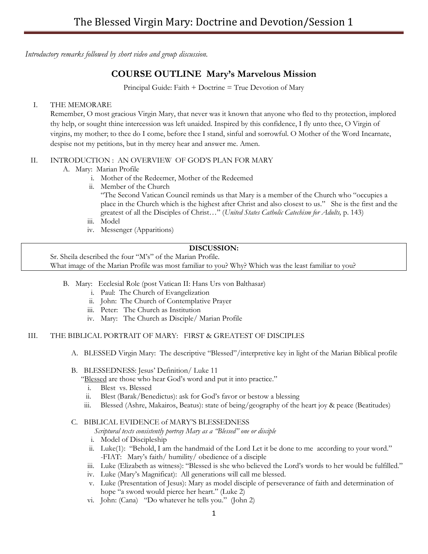*Introductory remarks followed by short video and group discussion.*

# **COURSE OUTLINE Mary's Marvelous Mission**

Principal Guide: Faith + Doctrine = True Devotion of Mary

## I. THE MEMORARE

Remember, O most gracious Virgin Mary, that never was it known that anyone who fled to thy protection, implored thy help, or sought thine intercession was left unaided. Inspired by this confidence, I fly unto thee, O Virgin of virgins, my mother; to thee do I come, before thee I stand, sinful and sorrowful. O Mother of the Word Incarnate, despise not my petitions, but in thy mercy hear and answer me. Amen.

## II. INTRODUCTION : AN OVERVIEW OF GOD'S PLAN FOR MARY

- A. Mary: Marian Profile
	- i. Mother of the Redeemer, Mother of the Redeemed
	- ii. Member of the Church

"The Second Vatican Council reminds us that Mary is a member of the Church who "occupies a place in the Church which is the highest after Christ and also closest to us." She is the first and the greatest of all the Disciples of Christ…" (*United States Catholic Catechism for Adults,* p. 143)

- iii. Model
- iv. Messenger (Apparitions)

### **DISCUSSION:**

Sr. Sheila described the four "M's" of the Marian Profile. What image of the Marian Profile was most familiar to you? Why? Which was the least familiar to you?

- B. Mary: Ecclesial Role (post Vatican II: Hans Urs von Balthasar)
	- i. Paul: The Church of Evangelization
	- ii. John: The Church of Contemplative Prayer
	- iii. Peter: The Church as Institution
	- iv. Mary: The Church as Disciple/ Marian Profile

#### III. THE BIBLICAL PORTRAIT OF MARY: FIRST & GREATEST OF DISCIPLES

A. BLESSED Virgin Mary: The descriptive "Blessed"/interpretive key in light of the Marian Biblical profile

#### B. BLESSEDNESS: Jesus' Definition/ Luke 11

- "Blessed are those who hear God's word and put it into practice."
	- i. Blest vs. Blessed
- ii. Blest (Barak/Benedictus): ask for God's favor or bestow a blessing
- iii. Blessed (Ashre, Makairos, Beatus): state of being/geography of the heart joy & peace (Beatitudes)

## C. BIBLICAL EVIDENCE of MARY'S BLESSEDNESS

*Scriptural texts consistently portray Mary as a "Blessed" one or disciple*

- i. Model of Discipleship
- ii. Luke(1): "Behold, I am the handmaid of the Lord Let it be done to me according to your word." -FIAT: Mary's faith/ humility/ obedience of a disciple
- iii. Luke (Elizabeth as witness): "Blessed is she who believed the Lord's words to her would be fulfilled."
- iv. Luke (Mary's Magnificat): All generations will call me blessed.
- v. Luke (Presentation of Jesus): Mary as model disciple of perseverance of faith and determination of hope "a sword would pierce her heart." (Luke 2)
- vi. John: (Cana) "Do whatever he tells you." (John 2)